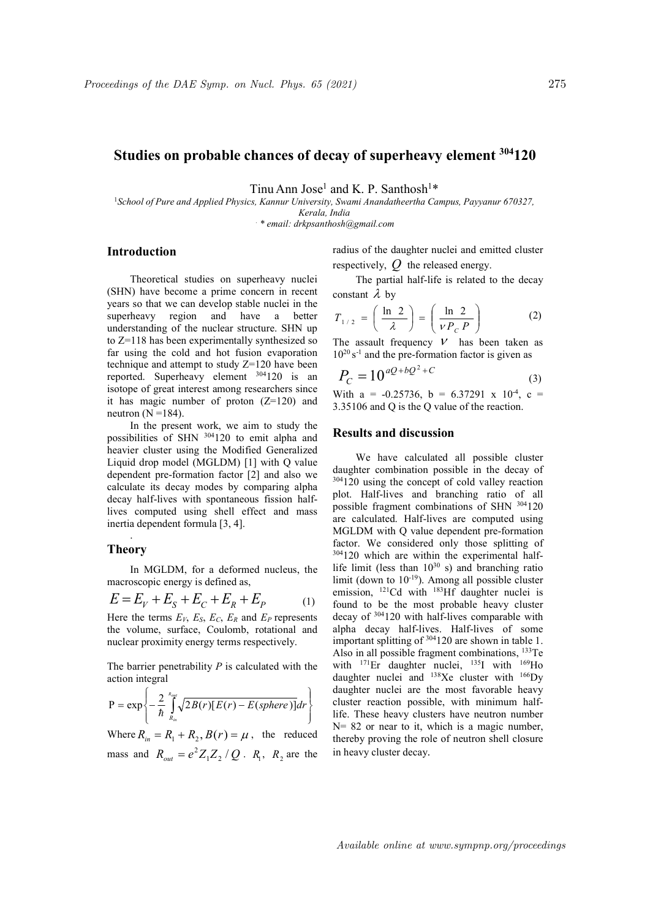# Studies on probable chances of decay of superheavy element  $304120$

Tinu Ann Jose<sup>1</sup> and K. P. Santhosh<sup>1\*</sup>

<sup>1</sup>School of Pure and Applied Physics, Kannur University, Swami Anandatheertha Campus, Payyanur 670327, Kerala, India

. \* email: drkpsanthosh@gmail.com

## Introduction

Theoretical studies on superheavy nuclei (SHN) have become a prime concern in recent years so that we can develop stable nuclei in the superheavy region and have a better understanding of the nuclear structure. SHN up to Z=118 has been experimentally synthesized so far using the cold and hot fusion evaporation technique and attempt to study Z=120 have been reported. Superheavy element <sup>304</sup>120 is an isotope of great interest among researchers since it has magic number of proton  $(Z=120)$  and neutron  $(N=184)$ .

In the present work, we aim to study the possibilities of SHN <sup>304</sup>120 to emit alpha and heavier cluster using the Modified Generalized Liquid drop model (MGLDM) [1] with Q value dependent pre-formation factor [2] and also we calculate its decay modes by comparing alpha decay half-lives with spontaneous fission halflives computed using shell effect and mass inertia dependent formula [3, 4].

### . Theory

In MGLDM, for a deformed nucleus, the macroscopic energy is defined as,

$$
E = E_V + E_S + E_C + E_R + E_P \tag{1}
$$

Here the terms  $E_V$ ,  $E_S$ ,  $E_C$ ,  $E_R$  and  $E_P$  represents the volume, surface, Coulomb, rotational and nuclear proximity energy terms respectively.

The barrier penetrability  $P$  is calculated with the action integral

$$
P = \exp\left\{-\frac{2}{\hbar}\int_{R_{in}}^{R_{out}}\sqrt{2B(r)[E(r) - E(sphere)]}dr\right\}
$$

Where  $R_{in} = R_1 + R_2$ ,  $B(r) = \mu$ , the reduced mass and  $R_{out} = e^2 Z_1 Z_2 / Q$ .  $R_1$ ,  $R_2$  are the radius of the daughter nuclei and emitted cluster respectively,  $\hat{Q}$  the released energy.

The partial half-life is related to the decay constant  $\lambda$  by

$$
T_{1/2} = \left(\frac{\ln 2}{\lambda}\right) = \left(\frac{\ln 2}{\nu P_c P}\right) \tag{2}
$$

The assault frequency  $V$  has been taken as  $10^{20}$  s<sup>-1</sup> and the pre-formation factor is given as

$$
P_C = 10^{aQ + bQ^2 + C}
$$
 (3)

With a = -0.25736, b = 6.37291 x  $10^4$ , c = 3.35106 and Q is the Q value of the reaction.

#### Results and discussion

We have calculated all possible cluster daughter combination possible in the decay of 304120 using the concept of cold valley reaction plot. Half-lives and branching ratio of all possible fragment combinations of SHN <sup>304</sup>120 are calculated. Half-lives are computed using MGLDM with Q value dependent pre-formation factor. We considered only those splitting of 304120 which are within the experimental halflife limit (less than  $10^{30}$  s) and branching ratio limit (down to  $10^{-19}$ ). Among all possible cluster emission,  $^{121}$ Cd with  $^{183}$ Hf daughter nuclei is found to be the most probable heavy cluster decay of <sup>304</sup>120 with half-lives comparable with alpha decay half-lives. Half-lives of some important splitting of <sup>304</sup>120 are shown in table 1. Also in all possible fragment combinations, <sup>133</sup>Te with  $^{171}$ Er daughter nuclei,  $^{135}$ I with  $^{169}$ Ho daughter nuclei and  $^{138}$ Xe cluster with  $^{166}$ Dv daughter nuclei are the most favorable heavy cluster reaction possible, with minimum halflife. These heavy clusters have neutron number  $N= 82$  or near to it, which is a magic number, thereby proving the role of neutron shell closure in heavy cluster decay.

Available online at www.sympnp.org/proceedings